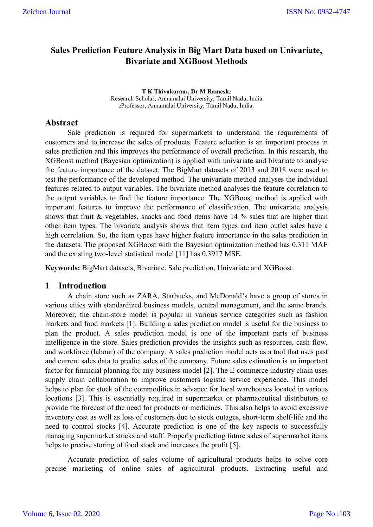# **Sales Prediction Feature Analysis in Big Mart Data based on Univariate, Bivariate and XGBoost Methods**

**T K Thivakaran1, Dr M Ramesh**<sup>2</sup> 1Research Scholar, Annamalai University, Tamil Nadu, India. 2Professor, Annamalai University, Tamil Nadu, India.

### **Abstract**

Sale prediction is required for supermarkets to understand the requirements of customers and to increase the sales of products. Feature selection is an important process in sales prediction and this improves the performance of overall prediction. In this research, the XGBoost method (Bayesian optimization) is applied with univariate and bivariate to analyse the feature importance of the dataset. The BigMart datasets of 2013 and 2018 were used to test the performance of the developed method. The univariate method analyses the individual features related to output variables. The bivariate method analyses the feature correlation to the output variables to find the feature importance. The XGBoost method is applied with important features to improve the performance of classification. The univariate analysis shows that fruit & vegetables, snacks and food items have 14 % sales that are higher than other item types. The bivariate analysis shows that item types and item outlet sales have a high correlation. So, the item types have higher feature importance in the sales prediction in the datasets. The proposed XGBoost with the Bayesian optimization method has 0.311 MAE and the existing two-level statistical model [11] has 0.3917 MSE.

**Keywords:** BigMart datasets, Bivariate, Sale prediction, Univariate and XGBoost.

#### **1 Introduction**

A chain store such as ZARA, Starbucks, and McDonald's have a group of stores in various cities with standardized business models, central management, and the same brands. Moreover, the chain-store model is popular in various service categories such as fashion markets and food markets [1]. Building a sales prediction model is useful for the business to plan the product. A sales prediction model is one of the important parts of business intelligence in the store. Sales prediction provides the insights such as resources, cash flow, and workforce (labour) of the company. A sales prediction model acts as a tool that uses past and current sales data to predict sales of the company. Future sales estimation is an important factor for financial planning for any business model [2]. The E-commerce industry chain uses supply chain collaboration to improve customers logistic service experience. This model helps to plan for stock of the commodities in advance for local warehouses located in various locations [3]. This is essentially required in supermarket or pharmaceutical distributors to provide the forecast of the need for products or medicines. This also helps to avoid excessive inventory cost as well as loss of customers due to stock outages, short-term shelf-life and the need to control stocks [4]. Accurate prediction is one of the key aspects to successfully managing supermarket stocks and staff. Properly predicting future sales of supermarket items helps to precise storing of food stock and increases the profit [5].

Accurate prediction of sales volume of agricultural products helps to solve core precise marketing of online sales of agricultural products. Extracting useful and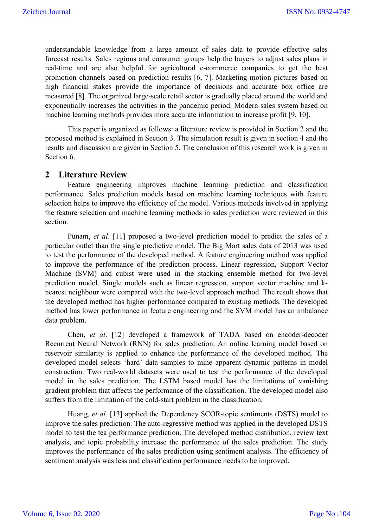understandable knowledge from a large amount of sales data to provide effective sales forecast results. Sales regions and consumer groups help the buyers to adjust sales plans in real-time and are also helpful for agricultural e-commerce companies to get the best promotion channels based on prediction results [6, 7]. Marketing motion pictures based on high financial stakes provide the importance of decisions and accurate box office are measured [8]. The organized large-scale retail sector is gradually placed around the world and exponentially increases the activities in the pandemic period. Modern sales system based on machine learning methods provides more accurate information to increase profit [9, 10].

This paper is organized as follows: a literature review is provided in Section 2 and the proposed method is explained in Section 3. The simulation result is given in section 4 and the results and discussion are given in Section 5. The conclusion of this research work is given in Section 6.

# **2 Literature Review**

Feature engineering improves machine learning prediction and classification performance. Sales prediction models based on machine learning techniques with feature selection helps to improve the efficiency of the model. Various methods involved in applying the feature selection and machine learning methods in sales prediction were reviewed in this section.

Punam, *et al*. [11] proposed a two-level prediction model to predict the sales of a particular outlet than the single predictive model. The Big Mart sales data of 2013 was used to test the performance of the developed method. A feature engineering method was applied to improve the performance of the prediction process. Linear regression, Support Vector Machine (SVM) and cubist were used in the stacking ensemble method for two-level prediction model. Single models such as linear regression, support vector machine and knearest neighbour were compared with the two-level approach method. The result shows that the developed method has higher performance compared to existing methods. The developed method has lower performance in feature engineering and the SVM model has an imbalance data problem.

Chen, *et al*. [12] developed a framework of TADA based on encoder-decoder Recurrent Neural Network (RNN) for sales prediction. An online learning model based on reservoir similarity is applied to enhance the performance of the developed method. The developed model selects 'hard' data samples to mine apparent dynamic patterns in model construction. Two real-world datasets were used to test the performance of the developed model in the sales prediction. The LSTM based model has the limitations of vanishing gradient problem that affects the performance of the classification. The developed model also suffers from the limitation of the cold-start problem in the classification.

Huang, *et al*. [13] applied the Dependency SCOR-topic sentiments (DSTS) model to improve the sales prediction. The auto-regressive method was applied in the developed DSTS model to test the tea performance prediction. The developed method distribution, review text analysis, and topic probability increase the performance of the sales prediction. The study improves the performance of the sales prediction using sentiment analysis. The efficiency of sentiment analysis was less and classification performance needs to be improved.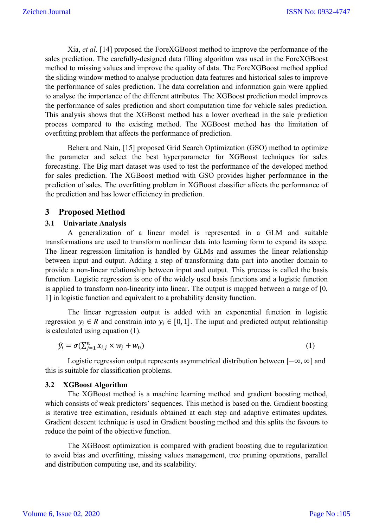Xia, *et al*. [14] proposed the ForeXGBoost method to improve the performance of the sales prediction. The carefully-designed data filling algorithm was used in the ForeXGBoost method to missing values and improve the quality of data. The ForeXGBoost method applied the sliding window method to analyse production data features and historical sales to improve the performance of sales prediction. The data correlation and information gain were applied to analyse the importance of the different attributes. The XGBoost prediction model improves the performance of sales prediction and short computation time for vehicle sales prediction. This analysis shows that the XGBoost method has a lower overhead in the sale prediction process compared to the existing method. The XGBoost method has the limitation of overfitting problem that affects the performance of prediction.

Behera and Nain, [15] proposed Grid Search Optimization (GSO) method to optimize the parameter and select the best hyperparameter for XGBoost techniques for sales forecasting. The Big mart dataset was used to test the performance of the developed method for sales prediction. The XGBoost method with GSO provides higher performance in the prediction of sales. The overfitting problem in XGBoost classifier affects the performance of the prediction and has lower efficiency in prediction.

# **3 Proposed Method**

#### **3.1 Univariate Analysis**

A generalization of a linear model is represented in a GLM and suitable transformations are used to transform nonlinear data into learning form to expand its scope. The linear regression limitation is handled by GLMs and assumes the linear relationship between input and output. Adding a step of transforming data part into another domain to provide a non-linear relationship between input and output. This process is called the basis function. Logistic regression is one of the widely used basis functions and a logistic function is applied to transform non-linearity into linear. The output is mapped between a range of [0, 1] in logistic function and equivalent to a probability density function.

The linear regression output is added with an exponential function in logistic regression  $y_i \in R$  and constrain into  $y_i \in [0, 1]$ . The input and predicted output relationship is calculated using equation (1).

$$
\widehat{y}_i = \sigma(\sum_{j=1}^n x_{i,j} \times w_j + w_0) \tag{1}
$$

Logistic regression output represents asymmetrical distribution between [−∞, ∞] and this is suitable for classification problems.

#### **3.2 XGBoost Algorithm**

The XGBoost method is a machine learning method and gradient boosting method, which consists of weak predictors' sequences. This method is based on the. Gradient boosting is iterative tree estimation, residuals obtained at each step and adaptive estimates updates. Gradient descent technique is used in Gradient boosting method and this splits the favours to reduce the point of the objective function.

The XGBoost optimization is compared with gradient boosting due to regularization to avoid bias and overfitting, missing values management, tree pruning operations, parallel and distribution computing use, and its scalability.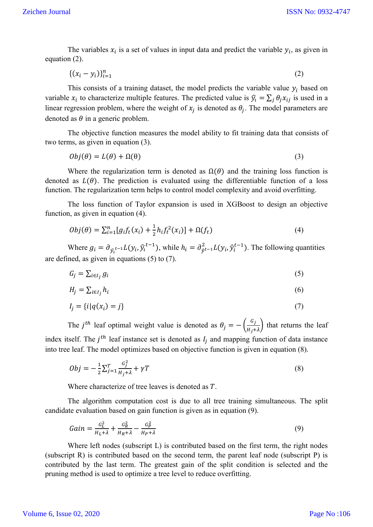The variables  $x_i$  is a set of values in input data and predict the variable  $y_i$ , as given in equation (2).

$$
\{(x_i - y_i)\}_{i=1}^n \tag{2}
$$

This consists of a training dataset, the model predicts the variable value  $y_i$  based on variable  $x_i$  to characterize multiple features. The predicted value is  $\hat{y_i} = \sum_j \theta_j x_{ij}$  is used in a linear regression problem, where the weight of  $x_i$  is denoted as  $\theta_i$ . The model parameters are denoted as  $\theta$  in a generic problem.

The objective function measures the model ability to fit training data that consists of two terms, as given in equation (3).

$$
Obj(\theta) = L(\theta) + \Omega(\theta) \tag{3}
$$

Where the regularization term is denoted as  $\Omega(\theta)$  and the training loss function is denoted as  $L(\theta)$ . The prediction is evaluated using the differentiable function of a loss function. The regularization term helps to control model complexity and avoid overfitting.

The loss function of Taylor expansion is used in XGBoost to design an objective function, as given in equation (4).

$$
Obj(\theta) = \sum_{i=1}^{n} [g_i f_t(x_i) + \frac{1}{2} h_i f_t^2(x_i)] + \Omega(f_t)
$$
\n(4)

Where  $g_i = \partial_{\hat{y_i}^{t-1}} L(y_i, \hat{y_i}^{t-1})$ , while  $h_i = \partial_{\hat{y}^{t-1}}^2 L(y_i, \hat{y}_i^{t-1})$ . The following quantities are defined, as given in equations (5) to (7).

$$
G_j = \sum_{i \in I_j} g_i \tag{5}
$$

$$
H_j = \sum_{i \in I_j} h_i \tag{6}
$$

$$
I_j = \{i | q(x_i) = j\}
$$
\n<sup>(7)</sup>

The *j*<sup>th</sup> leaf optimal weight value is denoted as  $\theta_j = -\left(\frac{G_j}{H_j + \lambda}\right)$  that returns the leaf index itself. The  $j<sup>th</sup>$  leaf instance set is denoted as  $I_j$  and mapping function of data instance into tree leaf. The model optimizes based on objective function is given in equation (8).

$$
Obj = -\frac{1}{2} \sum_{j=1}^{T} \frac{G_j^2}{H_j + \lambda} + \gamma T \tag{8}
$$

Where characterize of tree leaves is denoted as  $T$ .

The algorithm computation cost is due to all tree training simultaneous. The split candidate evaluation based on gain function is given as in equation (9).

$$
Gain = \frac{c_L^2}{H_L + \lambda} + \frac{c_R^2}{H_R + \lambda} - \frac{c_P^2}{H_P + \lambda} \tag{9}
$$

Where left nodes (subscript L) is contributed based on the first term, the right nodes (subscript R) is contributed based on the second term, the parent leaf node (subscript P) is contributed by the last term. The greatest gain of the split condition is selected and the pruning method is used to optimize a tree level to reduce overfitting.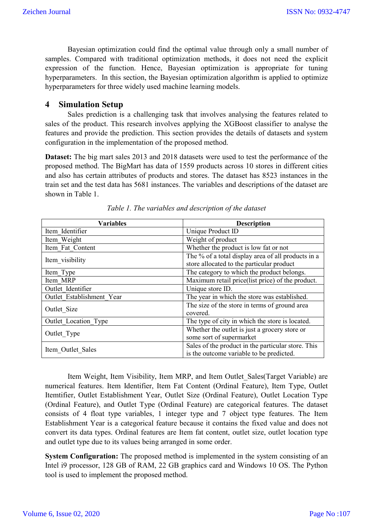Bayesian optimization could find the optimal value through only a small number of samples. Compared with traditional optimization methods, it does not need the explicit expression of the function. Hence, Bayesian optimization is appropriate for tuning hyperparameters. In this section, the Bayesian optimization algorithm is applied to optimize hyperparameters for three widely used machine learning models.

### **4 Simulation Setup**

Sales prediction is a challenging task that involves analysing the features related to sales of the product. This research involves applying the XGBoost classifier to analyse the features and provide the prediction. This section provides the details of datasets and system configuration in the implementation of the proposed method.

**Dataset:** The big mart sales 2013 and 2018 datasets were used to test the performance of the proposed method. The BigMart has data of 1559 products across 10 stores in different cities and also has certain attributes of products and stores. The dataset has 8523 instances in the train set and the test data has 5681 instances. The variables and descriptions of the dataset are shown in Table 1.

| <b>Variables</b>          | <b>Description</b>                                 |  |  |
|---------------------------|----------------------------------------------------|--|--|
| Item Identifier           | Unique Product ID                                  |  |  |
| Item Weight               | Weight of product                                  |  |  |
| Item Fat Content          | Whether the product is low fat or not              |  |  |
| Item visibility           | The % of a total display area of all products in a |  |  |
|                           | store allocated to the particular product          |  |  |
| Item Type                 | The category to which the product belongs.         |  |  |
| Item MRP                  | Maximum retail price(list price) of the product.   |  |  |
| Outlet Identifier         | Unique store ID.                                   |  |  |
| Outlet Establishment Year | The year in which the store was established.       |  |  |
| Outlet Size               | The size of the store in terms of ground area      |  |  |
|                           | covered.                                           |  |  |
| Outlet Location Type      | The type of city in which the store is located.    |  |  |
| Outlet Type               | Whether the outlet is just a grocery store or      |  |  |
|                           | some sort of supermarket                           |  |  |
| Item Outlet Sales         | Sales of the product in the particular store. This |  |  |
|                           | is the outcome variable to be predicted.           |  |  |

*Table 1. The variables and description of the dataset*

Item Weight, Item Visibility, Item MRP, and Item Outlet\_Sales(Target Variable) are numerical features. Item Identifier, Item Fat Content (Ordinal Feature), Item Type, Outlet Itemtifier, Outlet Establishment Year, Outlet Size (Ordinal Feature), Outlet Location Type (Ordinal Feature), and Outlet Type (Ordinal Feature) are categorical features. The dataset consists of 4 float type variables, 1 integer type and 7 object type features. The Item Establishment Year is a categorical feature because it contains the fixed value and does not convert its data types. Ordinal features are Item fat content, outlet size, outlet location type and outlet type due to its values being arranged in some order.

**System Configuration:** The proposed method is implemented in the system consisting of an Intel i9 processor, 128 GB of RAM, 22 GB graphics card and Windows 10 OS. The Python tool is used to implement the proposed method.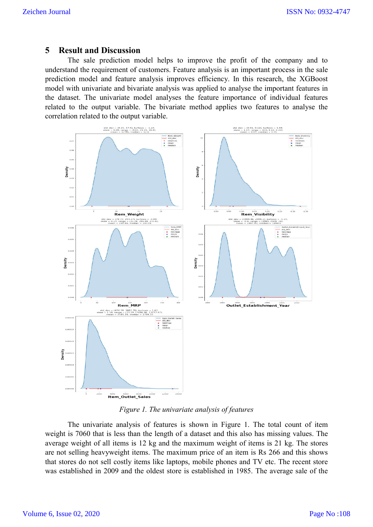### **5 Result and Discussion**

The sale prediction model helps to improve the profit of the company and to The sale prediction model helps to improve the profit of the company and to understand the requirement of customers. Feature analysis is an important process in the sale prediction model and feature analysis improves efficiency. In this research, the XGBoost model with univariate and bivariate analysis was applied to analyse the important features in the dataset. The univariate model analyses the feature importance of individual features the dataset. The univariate model analyses the feature importance of individual features related to the output variable. The bivariate method applies two features to analyse the correlation related to the output variable.



*Figure 1. The univariate analysis of features*

The univariate analysis of features is shown in Figure 1. The total count of item weight is 7060 that is less than the length of a dataset and this also has missing values. The average weight of all items is 12 kg and the maximum weight of items is 21 kg. The stores are not selling heavyweight items. The maximum price of an item is Rs 266 and this shows that stores do not sell costly items like laptops, mobile phones and TV etc. The recent store that stores do not sell costly items like laptops, mobile phones and TV etc. The recent st<br>was established in 2009 and the oldest store is established in 1985. The average sale of is less than the length of a dataset and this also has missing values. The ll items is 12 kg and the maximum weight of items is 21 kg. The stores yweight items. The maximum price of an item is Rs 266 and this shows ll cost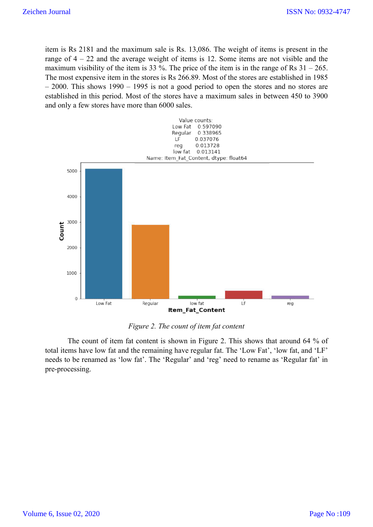item is Rs 2181 and the maximum sale is Rs. 13,086. The weight of items is present in the item is Rs 2181 and the maximum sale is Rs. 13,086. The weight of items is present in the range of  $4 - 22$  and the average weight of items is 12. Some items are not visible and the maximum visibility of the item is 33 %. The price of the item is in the range of Rs  $31 - 265$ . The most expensive item in the stores is Rs 266.89. Most of the stores are established in 1985 – 2000. This shows 1990 – 1995 is not a good period to open the stores and no stores are established in this period. Most of the stores have a maximum sales in between 450 to 3900 and only a few stores have more than 6000 sales.



### *Figure 2. The count of item fat content*

The count of item fat content is shown in Figure 2. This shows that around 64 % of total items have low fat and the remaining have regular fat. The 'Low Fat', 'low fat, and 'LF' needs to be renamed as 'low fat'. The 'Regular' and 'reg' need to rename as 'Regular fat' in pre-processing.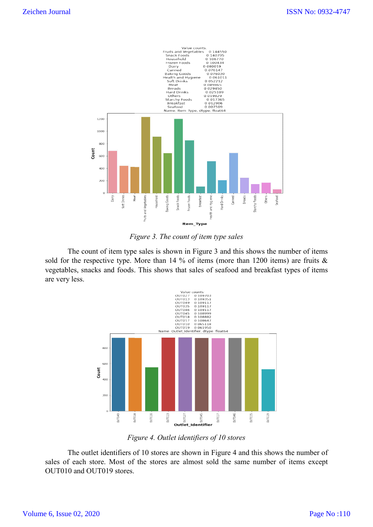



The count of item type sales is shown in Figure 3 and this shows the number of items sold for the respective type. More than 14 % of items (more than 1200 items) are fruits & vegetables, snacks and foods. This shows that sales of seafood and breakfast type are very less. count of item type sales is shown in Figure 3 and this shows the number of items respective type. More than 14 % of items (more than 1200 items) are fruits & snacks and foods. This shows that sales of seafood and breakfast



*Figure 4. Outlet identifiers of 10 stores*

The outlet identifiers of 10 stores are shown in Figure 4 and this shows the number of The outlet identifiers of 10 stores are shown in Figure 4 and this shows the number of sales of each store. Most of the stores are almost sold the same number of items except OUT010 and OUT019 stores.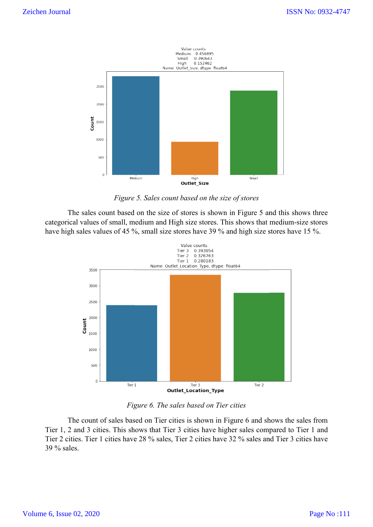

*Figure 5. Sales count based on the size of stores*

The sales count based on the size of stores is shown in Figure 5 and this shows three The sales count based on the size of stores is shown in Figure 5 and this shows three categorical values of small, medium and High size stores. This shows that medium-size stores have high sales values of 45 %, small size stores have 39 % and high size stores have 15 %.



*Figure 6. The sales based on Tier cities*

The count of sales based on Tier cities is shown in Figure 6 and shows the sales from The count of sales based on Tier cities is shown in Figure 6 and shows the sales from<br>Tier 1, 2 and 3 cities. This shows that Tier 3 cities have higher sales compared to Tier 1 and Tier 2 cities. Tier 1 cities have 28 % sales, Tier 2 cities ha have 32 % sales and Tier 3 cities have 39 % sales.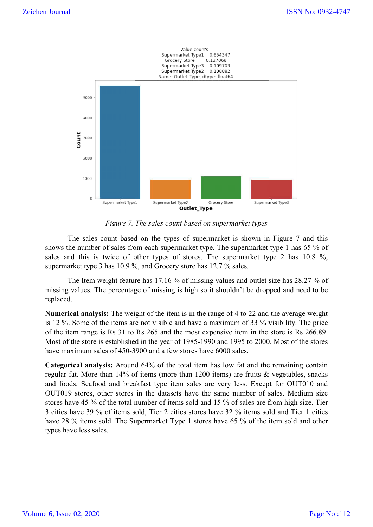

*Figure 7. The sales count based on supermarket types .* 

The sales count based on the types of supermarket is shown in Figure 7 and this shows the number of sales from each supermarket type. The supermarket type 1 has 65 % of sales and this is twice of other types of stores. The supermarket type 2 has  $10.8\%$ , supermarket type 3 has 10.9 %, and Grocery store has 12.7 % sales. rmarket is shown in Figure 7 and this<br>pe. The supermarket type 1 has 65 % of<br>The supermarket type 2 has 10.8 %,

The Item weight feature has 17.16 % of missing values and outlet size has 28.27 % of missing values. The percentage of missing is high so it shouldn't be dropped and need to be replaced.

Numerical analysis: The weight of the item is in the range of 4 to 22 and the average weight is 12 %. Some of the items are not visible and have a maximum of 33 % visibility. The price of the item range is Rs 31 to Rs 265 and the most expensive item in the store is Rs 266.89. Most of the store is established in the year of 1985-1990 and 1995 to 2000. Most of the stores have maximum sales of 450-3900 and a few stores have 6000 sales. me of the items are not visible and have a maximum of 33 % visibility. The price range is Rs 31 to Rs 265 and the most expensive item in the store is Rs 266.89. store is established in the year of 1985-1990 and 1995 to 200

**Categorical analysis:** Around 64% of the total item has low fat and the regular fat. More than 14% of items (more than 1200 items) are fruits & vegetables, snacks regular fat. More than 14% of items (more than 1200 items) are fruits & vegetables, snacks<br>and foods. Seafood and breakfast type item sales are very less. Except for OUT010 and OUT019 stores, other stores in the datasets have the same number of sales. Medium size stores have 45 % of the total number of items sold and 15 % of sales are from high size. Tier 3 cities have 39 % of items sold, Tier 2 cities stores have 32 % items sold and Tier 1 cities have 28 % items sold. The Supermarket Type 1 stores have 65 % of the item sold and other have 28 % items sold. The Supermarket Type 1 stores have 65 % of the item sold and other types have less sales.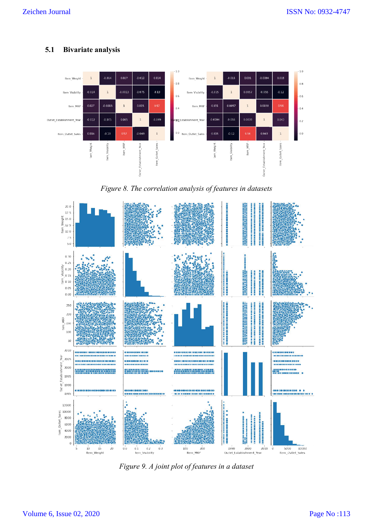**5.1 Bivariate analysis**



*Figure 8. The correlation analysis of features in datasets*



*Figure 9. A joint plot of features in a dataset*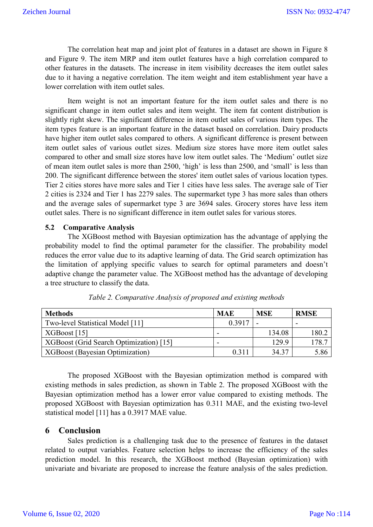The correlation heat map and joint plot of features in a dataset are shown in Figure 8 and Figure 9. The item MRP and item outlet features have a high correlation compared to other features in the datasets. The increase in item visibility decreases the item outlet sales due to it having a negative correlation. The item weight and item establishment year have a lower correlation with item outlet sales.

Item weight is not an important feature for the item outlet sales and there is no significant change in item outlet sales and item weight. The item fat content distribution is slightly right skew. The significant difference in item outlet sales of various item types. The item types feature is an important feature in the dataset based on correlation. Dairy products have higher item outlet sales compared to others. A significant difference is present between item outlet sales of various outlet sizes. Medium size stores have more item outlet sales compared to other and small size stores have low item outlet sales. The 'Medium' outlet size of mean item outlet sales is more than 2500, 'high' is less than 2500, and 'small' is less than 200. The significant difference between the stores' item outlet sales of various location types. Tier 2 cities stores have more sales and Tier 1 cities have less sales. The average sale of Tier 2 cities is 2324 and Tier 1 has 2279 sales. The supermarket type 3 has more sales than others and the average sales of supermarket type 3 are 3694 sales. Grocery stores have less item outlet sales. There is no significant difference in item outlet sales for various stores.

#### **5.2 Comparative Analysis**

The XGBoost method with Bayesian optimization has the advantage of applying the probability model to find the optimal parameter for the classifier. The probability model reduces the error value due to its adaptive learning of data. The Grid search optimization has the limitation of applying specific values to search for optimal parameters and doesn't adaptive change the parameter value. The XGBoost method has the advantage of developing a tree structure to classify the data.

| <b>Methods</b>                          | <b>MAE</b> | <b>MSE</b> | <b>RMSE</b> |
|-----------------------------------------|------------|------------|-------------|
| Two-level Statistical Model [11]        | 0.3917     |            |             |
| XGBoost [15]                            | -          | 134.08     | 180.2       |
| XGBoost (Grid Search Optimization) [15] | -          | 129.9      | 178.7       |
| <b>XGBoost (Bayesian Optimization)</b>  | 0.311      | 34.37      | 5.86        |

*Table 2. Comparative Analysis of proposed and existing methods*

The proposed XGBoost with the Bayesian optimization method is compared with existing methods in sales prediction, as shown in Table 2. The proposed XGBoost with the Bayesian optimization method has a lower error value compared to existing methods. The proposed XGBoost with Bayesian optimization has 0.311 MAE, and the existing two-level statistical model [11] has a 0.3917 MAE value.

#### **6 Conclusion**

Sales prediction is a challenging task due to the presence of features in the dataset related to output variables. Feature selection helps to increase the efficiency of the sales prediction model. In this research, the XGBoost method (Bayesian optimization) with univariate and bivariate are proposed to increase the feature analysis of the sales prediction.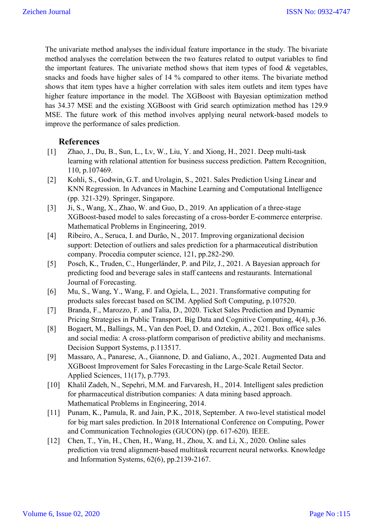The univariate method analyses the individual feature importance in the study. The bivariate method analyses the correlation between the two features related to output variables to find the important features. The univariate method shows that item types of food  $\&$  vegetables, snacks and foods have higher sales of 14 % compared to other items. The bivariate method shows that item types have a higher correlation with sales item outlets and item types have higher feature importance in the model. The XGBoost with Bayesian optimization method has 34.37 MSE and the existing XGBoost with Grid search optimization method has 129.9 MSE. The future work of this method involves applying neural network-based models to improve the performance of sales prediction.

# **References**

- [1] Zhao, J., Du, B., Sun, L., Lv, W., Liu, Y. and Xiong, H., 2021. Deep multi-task learning with relational attention for business success prediction. Pattern Recognition, 110, p.107469.
- [2] Kohli, S., Godwin, G.T. and Urolagin, S., 2021. Sales Prediction Using Linear and KNN Regression. In Advances in Machine Learning and Computational Intelligence (pp. 321-329). Springer, Singapore.
- [3] Ji, S., Wang, X., Zhao, W. and Guo, D., 2019. An application of a three-stage XGBoost-based model to sales forecasting of a cross-border E-commerce enterprise. Mathematical Problems in Engineering, 2019.
- [4] Ribeiro, A., Seruca, I. and Durão, N., 2017. Improving organizational decision support: Detection of outliers and sales prediction for a pharmaceutical distribution company. Procedia computer science, 121, pp.282-290.
- [5] Posch, K., Truden, C., Hungerländer, P. and Pilz, J., 2021. A Bayesian approach for predicting food and beverage sales in staff canteens and restaurants. International Journal of Forecasting.
- [6] Mu, S., Wang, Y., Wang, F. and Ogiela, L., 2021. Transformative computing for products sales forecast based on SCIM. Applied Soft Computing, p.107520.
- [7] Branda, F., Marozzo, F. and Talia, D., 2020. Ticket Sales Prediction and Dynamic Pricing Strategies in Public Transport. Big Data and Cognitive Computing, 4(4), p.36.
- [8] Bogaert, M., Ballings, M., Van den Poel, D. and Oztekin, A., 2021. Box office sales and social media: A cross-platform comparison of predictive ability and mechanisms. Decision Support Systems, p.113517.
- [9] Massaro, A., Panarese, A., Giannone, D. and Galiano, A., 2021. Augmented Data and XGBoost Improvement for Sales Forecasting in the Large-Scale Retail Sector. Applied Sciences, 11(17), p.7793.
- [10] Khalil Zadeh, N., Sepehri, M.M. and Farvaresh, H., 2014. Intelligent sales prediction for pharmaceutical distribution companies: A data mining based approach. Mathematical Problems in Engineering, 2014.
- [11] Punam, K., Pamula, R. and Jain, P.K., 2018, September. A two-level statistical model for big mart sales prediction. In 2018 International Conference on Computing, Power and Communication Technologies (GUCON) (pp. 617-620). IEEE.
- [12] Chen, T., Yin, H., Chen, H., Wang, H., Zhou, X. and Li, X., 2020. Online sales prediction via trend alignment-based multitask recurrent neural networks. Knowledge and Information Systems, 62(6), pp.2139-2167.